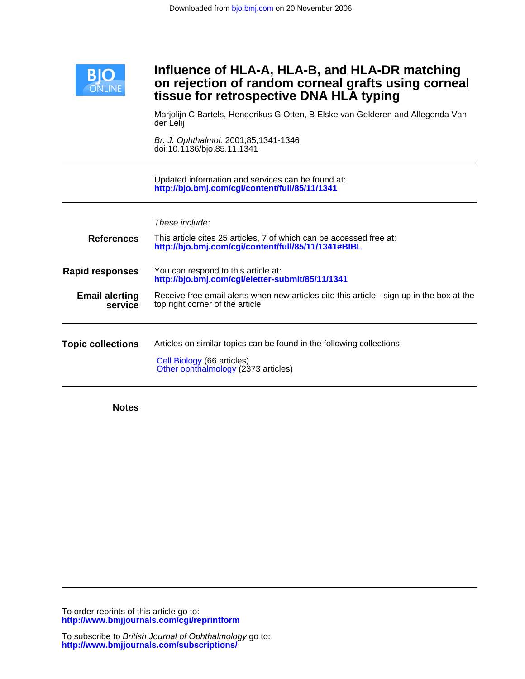

## **tissue for retrospective DNA HLA typing on rejection of random corneal grafts using corneal Influence of HLA-A, HLA-B, and HLA-DR matching**

der Lelij Marjolijn C Bartels, Henderikus G Otten, B Elske van Gelderen and Allegonda Van

doi:10.1136/bjo.85.11.1341 Br. J. Ophthalmol. 2001;85;1341-1346

**<http://bjo.bmj.com/cgi/content/full/85/11/1341>** Updated information and services can be found at:

| <b>References</b>                | These include:<br>This article cites 25 articles, 7 of which can be accessed free at:<br>http://bjo.bmj.com/cgi/content/full/85/11/1341#BIBL |
|----------------------------------|----------------------------------------------------------------------------------------------------------------------------------------------|
| <b>Rapid responses</b>           | You can respond to this article at:<br>http://bjo.bmj.com/cgi/eletter-submit/85/11/1341                                                      |
| <b>Email alerting</b><br>service | Receive free email alerts when new articles cite this article - sign up in the box at the<br>top right corner of the article                 |
| <b>Topic collections</b>         | Articles on similar topics can be found in the following collections<br>Cell Biology (66 articles)<br>Other ophthalmology (2373 articles)    |

**Notes**

**<http://www.bmjjournals.com/cgi/reprintform>** To order reprints of this article go to: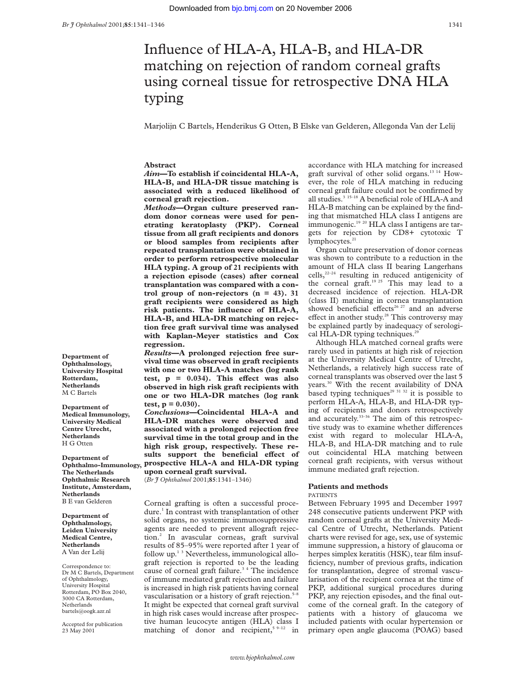# Influence of HLA-A, HLA-B, and HLA-DR matching on rejection of random corneal grafts using corneal tissue for retrospective DNA HLA typing

Marjolijn C Bartels, Henderikus G Otten, B Elske van Gelderen, Allegonda Van der Lelij

#### **Abstract**

*Aim***—To establish if coincidental HLA-A, HLA-B, and HLA-DR tissue matching is associated with a reduced likelihood of corneal graft rejection.**

*Methods***—Organ culture preserved random donor corneas were used for penetrating keratoplasty (PKP). Corneal tissue from all graft recipients and donors or blood samples from recipients after repeated transplantation were obtained in order to perform retrospective molecular HLA typing. A group of 21 recipients with a rejection episode (cases) after corneal transplantation was compared with a control group of non-rejectors (n = 43). 31 graft recipients were considered as high risk patients. The influence of HLA-A, HLA-B, and HLA-DR matching on rejection free graft survival time was analysed with Kaplan-Meyer statistics and Cox regression.**

*Results***—A prolonged rejection free survival time was observed in graft recipients with one or two HLA-A matches (log rank** test,  $p = 0.034$ . This effect was also **observed in high risk graft recipients with one or two HLA-DR matches (log rank test, p = 0.030).**

*Conclusions—***Coincidental HLA-A and HLA-DR matches were observed and associated with a prolonged rejection free survival time in the total group and in the high risk group, respectively. These re**sults support the beneficial effect of **prospective HLA-A and HLA-DR typing upon corneal graft survival.**

(*Br J Ophthalmol* 2001;**85**:1341–1346)

Corneal grafting is often a successful procedure.<sup>1</sup> In contrast with transplantation of other solid organs, no systemic immunosuppressive agents are needed to prevent allograft rejection.2 In avascular corneas, graft survival results of 85–95% were reported after 1 year of follow up. $1<sup>3</sup>$  Nevertheless, immunological allograft rejection is reported to be the leading cause of corneal graft failure.<sup>34</sup> The incidence of immune mediated graft rejection and failure is increased in high risk patients having corneal vascularisation or a history of graft rejection.<sup>5-8</sup> It might be expected that corneal graft survival in high risk cases would increase after prospective human leucocyte antigen (HLA) class I matching of donor and recipient,<sup>5 9-12</sup> in

accordance with HLA matching for increased graft survival of other solid organs.13 14 However, the role of HLA matching in reducing corneal graft failure could not be confirmed by all studies. $3^{3}$  15–18 A beneficial role of HLA-A and HLA-B matching can be explained by the finding that mismatched HLA class I antigens are immunogenic.<sup>19 20</sup> HLA class I antigens are targets for rejection by CD8+ cytotoxic T lymphocytes.<sup>21</sup>

Organ culture preservation of donor corneas was shown to contribute to a reduction in the amount of HLA class II bearing Langerhans cells,<sup>22-24</sup> resulting in reduced antigenicity of the corneal graft.<sup>19 25</sup> This may lead to a decreased incidence of rejection. HLA-DR (class II) matching in cornea transplantation showed beneficial effects<sup>26 27</sup> and an adverse effect in another study.<sup>28</sup> This controversy may be explained partly by inadequacy of serological HLA-DR typing techniques.<sup>21</sup>

Although HLA matched corneal grafts were rarely used in patients at high risk of rejection at the University Medical Centre of Utrecht, Netherlands, a relatively high success rate of corneal transplants was observed over the last 5 years.30 With the recent availability of DNA based typing techniques<sup>29 31 32</sup> it is possible to perform HLA-A, HLA-B, and HLA-DR typing of recipients and donors retrospectively and accurately.33–36 The aim of this retrospective study was to examine whether differences exist with regard to molecular HLA-A, HLA-B, and HLA-DR matching and to rule out coincidental HLA matching between corneal graft recipients, with versus without immune mediated graft rejection.

#### **Patients and methods**

#### PATIENTS

Between February 1995 and December 1997 248 consecutive patients underwent PKP with random corneal grafts at the University Medical Centre of Utrecht, Netherlands. Patient charts were revised for age, sex, use of systemic immune suppression, a history of glaucoma or herpes simplex keratitis (HSK), tear film insufficiency, number of previous grafts, indication for transplantation, degree of stromal vascularisation of the recipient cornea at the time of PKP, additional surgical procedures during PKP, any rejection episodes, and the final outcome of the corneal graft. In the category of patients with a history of glaucoma we included patients with ocular hypertension or primary open angle glaucoma (POAG) based

**Department of Ophthalmology, University Hospital Rotterdam, Netherlands** M C Bartels

**Department of Medical Immunology, University Medical Centre Utrecht, Netherlands** H G Otten

**Department of Ophthalmo-Immunology, The Netherlands Ophthalmic Research Institute, Amsterdam, Netherlands** B E van Gelderen

**Department of Ophthalmology, Leiden University Medical Centre, Netherlands** A Van der Lelij

Correspondence to: Dr M C Bartels, Department of Ophthalmology, University Hospital Rotterdam, PO Box 2040, 3000 CA Rotterdam, Netherlands bartels@oogk.azr.nl

Accepted for publication 23 May 2001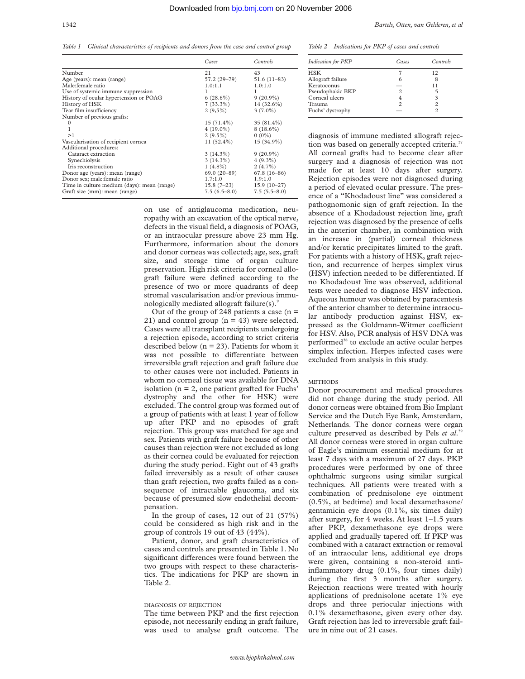*Table 1 Clinical characteristics of recipients and donors from the case and control group*

|                                             | Cases          | Controls       |
|---------------------------------------------|----------------|----------------|
| Number                                      | 21             | 43             |
| Age (years): mean (range)                   | 57.2 (29–79)   | $51.6(11-83)$  |
| Male: female ratio                          | 1.0:1.1        | 1.0:1.0        |
| Use of systemic immune suppression          |                |                |
| History of ocular hypertension or POAG      | $6(28.6\%)$    | $9(20.9\%)$    |
| History of HSK                              | $7(33.3\%)$    | $14(32.6\%)$   |
| Tear film insufficiency                     | $2(9,5\%)$     | $3(7.0\%)$     |
| Number of previous grafts:                  |                |                |
| $\Omega$                                    | $15(71.4\%)$   | $35(81.4\%)$   |
| 1                                           | $4(19.0\%)$    | $8(18.6\%)$    |
| >1                                          | $2(9.5\%)$     | $0(0\%)$       |
| Vascularisation of recipient cornea         | $11(52.4\%)$   | 15 (34.9%)     |
| Additional procedures:                      |                |                |
| Cataract extraction                         | $3(14.3\%)$    | $9(20.9\%)$    |
| Synechiolysis                               | $3(14.3\%)$    | $4(9.3\%)$     |
| Iris reconstruction                         | $1(4.8\%)$     | $2(4.7\%)$     |
| Donor age (years): mean (range)             | 69.0 (20-89)   | $67.8(16-86)$  |
| Donor sex; male: female ratio               | 1.7:1.0        | 1.9:1.0        |
| Time in culture medium (days): mean (range) | $15.8(7-23)$   | $15.9(10-27)$  |
| Graft size (mm): mean (range)               | $7.5(6.5-8.0)$ | $7.5(5.5-8.0)$ |

on use of antiglaucoma medication, neuropathy with an excavation of the optical nerve, defects in the visual field, a diagnosis of POAG, or an intraocular pressure above 23 mm Hg. Furthermore, information about the donors and donor corneas was collected; age, sex, graft size, and storage time of organ culture preservation. High risk criteria for corneal allograft failure were defined according to the presence of two or more quadrants of deep stromal vascularisation and/or previous immunologically mediated allograft failure(s).<sup>9</sup>

Out of the group of 248 patients a case  $(n =$ 21) and control group  $(n = 43)$  were selected. Cases were all transplant recipients undergoing a rejection episode, according to strict criteria described below ( $n = 23$ ). Patients for whom it was not possible to differentiate between irreversible graft rejection and graft failure due to other causes were not included. Patients in whom no corneal tissue was available for DNA isolation ( $n = 2$ , one patient grafted for Fuchs' dystrophy and the other for HSK) were excluded. The control group was formed out of a group of patients with at least 1 year of follow up after PKP and no episodes of graft rejection. This group was matched for age and sex. Patients with graft failure because of other causes than rejection were not excluded as long as their cornea could be evaluated for rejection during the study period. Eight out of 43 grafts failed irreversibly as a result of other causes than graft rejection, two grafts failed as a consequence of intractable glaucoma, and six because of presumed slow endothelial decompensation.

In the group of cases,  $12$  out of  $21$  (57%) could be considered as high risk and in the group of controls 19 out of 43 (44%).

Patient, donor, and graft characteristics of cases and controls are presented in Table 1. No significant differences were found between the two groups with respect to these characteristics. The indications for PKP are shown in Table 2.

#### DIAGNOSIS OF REJECTION

The time between PKP and the first rejection episode, not necessarily ending in graft failure, was used to analyse graft outcome. The *Table 2 Indications for PKP of cases and controls*

| Indication for PKP | Cases | Controls       |
|--------------------|-------|----------------|
| <b>HSK</b>         |       | 12             |
| Allograft failure  |       | 8              |
| Keratoconus        |       | 11             |
| Pseudophakic BKP   |       |                |
| Corneal ulcers     |       | 3              |
| Trauma             | 2     | $\mathfrak{D}$ |
| Fuchs' dystrophy   |       | っ              |

diagnosis of immune mediated allograft rejection was based on generally accepted criteria.<sup>3</sup> All corneal grafts had to become clear after surgery and a diagnosis of rejection was not made for at least 10 days after surgery. Rejection episodes were not diagnosed during a period of elevated ocular pressure. The presence of a "Khodadoust line" was considered a pathognomonic sign of graft rejection. In the absence of a Khodadoust rejection line, graft rejection was diagnosed by the presence of cells in the anterior chamber, in combination with an increase in (partial) corneal thickness and/or keratic precipitates limited to the graft. For patients with a history of HSK, graft rejection, and recurrence of herpes simplex virus (HSV) infection needed to be differentiated. If no Khodadoust line was observed, additional tests were needed to diagnose HSV infection. Aqueous humour was obtained by paracentesis of the anterior chamber to determine intraocular antibody production against HSV, expressed as the Goldmann-Witmer coefficient for HSV. Also, PCR analysis of HSV DNA was performed<sup>38</sup> to exclude an active ocular herpes simplex infection. Herpes infected cases were excluded from analysis in this study.

#### **METHODS**

Donor procurement and medical procedures did not change during the study period. All donor corneas were obtained from Bio Implant Service and the Dutch Eye Bank, Amsterdam, Netherlands. The donor corneas were organ culture preserved as described by Pels *et al*. 39 All donor corneas were stored in organ culture of Eagle's minimum essential medium for at least 7 days with a maximum of 27 days. PKP procedures were performed by one of three ophthalmic surgeons using similar surgical techniques. All patients were treated with a combination of prednisolone eye ointment (0.5%, at bedtime) and local dexamethasone/ gentamicin eye drops (0.1%, six times daily) after surgery, for 4 weeks. At least 1–1.5 years after PKP, dexamethasone eye drops were applied and gradually tapered off. If PKP was combined with a cataract extraction or removal of an intraocular lens, additional eye drops were given, containing a non-steroid antiinflammatory drug (0.1%, four times daily) during the first 3 months after surgery. Rejection reactions were treated with hourly applications of prednisolone acetate 1% eye drops and three periocular injections with 0.1% dexamethasone, given every other day. Graft rejection has led to irreversible graft failure in nine out of 21 cases.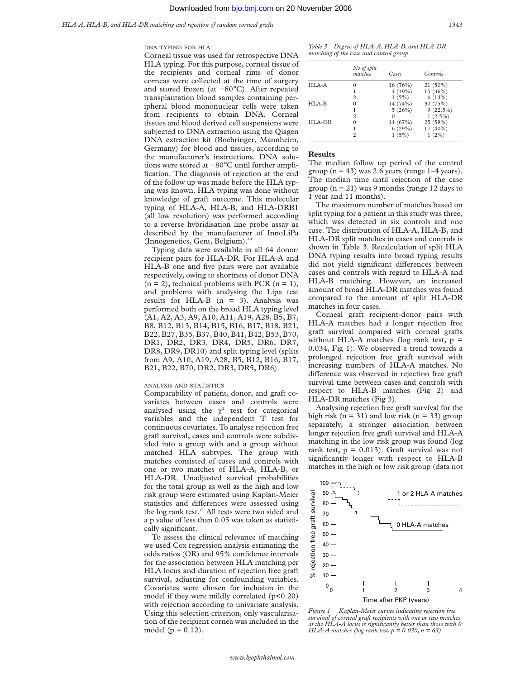#### DNA TYPING FOR HLA

Corneal tissue was used for retrospective DNA HLA typing. For this purpose, corneal tissue of the recipients and corneal rims of donor corneas were collected at the time of surgery and stored frozen (at −80°C). After repeated transplantation blood samples containing peripheral blood mononuclear cells were taken from recipients to obtain DNA. Corneal tissues and blood derived cell suspensions were subjected to DNA extraction using the Qiagen DNA extraction kit (Boehringer, Mannheim, Germany) for blood and tissues, according to the manufacturer's instructions. DNA solutions were stored at −80°C until further amplification. The diagnosis of rejection at the end of the follow up was made before the HLA typing was known. HLA typing was done without knowledge of graft outcome. This molecular typing of HLA-A, HLA-B, and HLA-DRB1 (all low resolution) was performed according to a reverse hybridisation line probe assay as described by the manufacturer of InnoLiPa (Innogenetics, Gent, Belgium). $40$ 

Typing data were available in all 64 donor/ recipient pairs for HLA-DR. For HLA-A and HLA-B one and five pairs were not available respectively, owing to shortness of donor DNA  $(n = 2)$ , technical problems with PCR  $(n = 1)$ , and problems with analysing the Lipa test results for HLA-B  $(n = 3)$ . Analysis was performed both on the broad HLA typing level (A1, A2, A3, A9, A10, A11, A19, A28, B5, B7, B8, B12, B13, B14, B15, B16, B17, B18, B21, B22, B27, B35, B37, B40, B41, B42, B53, B70, DR1, DR2, DR3, DR4, DR5, DR6, DR7, DR8, DR9, DR10) and split typing level (splits from A9, A10, A19, A28, B5, B12, B16, B17, B21, B22, B70, DR2, DR3, DR5, DR6).

#### ANALYSIS AND STATISTICS

Comparability of patient, donor, and graft covariates between cases and controls were analysed using the  $\chi^2$  test for categorical variables and the independent T test for continuous covariates. To analyse rejection free graft survival, cases and controls were subdivided into a group with and a group without matched HLA subtypes. The group with matches consisted of cases and controls with one or two matches of HLA-A, HLA-B, or HLA-DR. Unadjusted survival probabilities for the total group as well as the high and low risk group were estimated using Kaplan-Meier statistics and differences were assessed using the log rank test.<sup>41</sup> All tests were two sided and a p value of less than 0.05 was taken as statistically significant.

To assess the clinical relevance of matching we used Cox regression analysis estimating the odds ratios (OR) and 95% confidence intervals for the association between HLA matching per HLA locus and duration of rejection free graft survival, adjusting for confounding variables. Covariates were chosen for inclusion in the model if they were mildly correlated  $(p<0.20)$ with rejection according to univariate analysis. Using this selection criterion, only vascularisation of the recipient cornea was included in the model ( $p = 0.12$ ).

| Table 3 Degree of HLA-A, HLA-B, and HLA-DR |
|--------------------------------------------|
| matching of the case and control group     |

|          | No of split<br>matches | Cases    | Controls    |
|----------|------------------------|----------|-------------|
| HI A-A   |                        | 16(76%)  | $21(50\%)$  |
|          |                        | 4(19%)   | 15(36%)     |
|          | 2                      | 1(5%)    | 6(14%)      |
| $HI.A-B$ |                        | 14 (74%) | 30 (75%)    |
|          |                        | 5(26%)   | $9(22.5\%)$ |
|          | $\mathfrak{D}$         | $\Omega$ | $1(2.5\%)$  |
| HLA-DR   |                        | 14 (67%) | 25 (58%)    |
|          |                        | 6(29%)   | 17 (40%)    |
|          | っ                      | 1(5%)    | $1(2\%)$    |

### **Results**

The median follow up period of the control group ( $n = 43$ ) was 2.6 years (range 1–4 years). The median time until rejection of the case group  $(n = 21)$  was 9 months (range 12 days to 1 year and 11 months).

The maximum number of matches based on split typing for a patient in this study was three, which was detected in six controls and one case. The distribution of HLA-A, HLA-B, and HLA-DR split matches in cases and controls is shown in Table 3. Recalculation of split HLA DNA typing results into broad typing results did not yield significant differences between cases and controls with regard to HLA-A and HLA-B matching. However, an increased amount of broad HLA-DR matches was found compared to the amount of split HLA-DR matches in four cases.

Corneal graft recipient-donor pairs with HLA-A matches had a longer rejection free graft survival compared with corneal grafts without HLA-A matches (log rank test,  $p =$ 0.034, Fig 1). We observed a trend towards a prolonged rejection free graft survival with increasing numbers of HLA-A matches. No difference was observed in rejection free graft survival time between cases and controls with respect to HLA-B matches (Fig 2) and HLA-DR matches (Fig 3).

Analysing rejection free graft survival for the high risk ( $n = 31$ ) and low risk ( $n = 33$ ) group separately, a stronger association between longer rejection free graft survival and HLA-A matching in the low risk group was found (log rank test,  $p = 0.013$ . Graft survival was not significantly longer with respect to HLA-B matches in the high or low risk group (data not



*Figure 1 Kaplan-Meier curves indicating rejection free survival of corneal graft recipients with one or two matches at the HLA-A locus is significantly better than those with 0 HLA-A matches (log rank test, p = 0.030, n = 63).*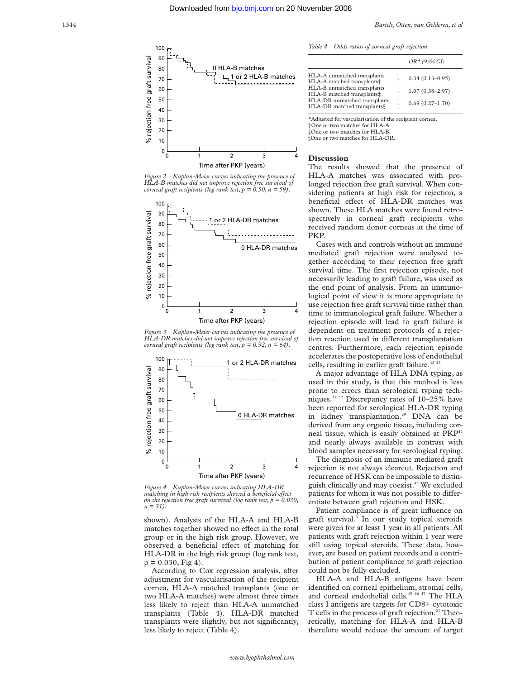

*Figure 2 Kaplan-Meier curves indicating the presence of HLA-B matches did not improve rejection free survival of corneal graft recipients (log rank test,*  $p = 0.50$ *, n = 59).* 



*Figure 3* Kaplan-Meier curves indicating the presence of *HLA-DR matches did not improve rejection free survival of corneal graft recipients (log rank test,*  $p = 0.92$ *, n = 64).* 



*Figure 4 Kaplan-Meier curves indicating HLA-DR matching in high risk recipients showed a beneficial effect on the rejection free graft survival (log rank test, p = 0.030, n = 31).*

shown). Analysis of the HLA-A and HLA-B matches together showed no effect in the total group or in the high risk group. However, we observed a beneficial effect of matching for HLA-DR in the high risk group (log rank test,  $p = 0.030$ , Fig 4).

According to Cox regression analysis, after adjustment for vascularisation of the recipient cornea, HLA-A matched transplants (one or two HLA-A matches) were almost three times less likely to reject than HLA-A unmatched transplants (Table 4). HLA-DR matched transplants were slightly, but not significantly, less likely to reject (Table 4).

| Table 4<br>Odds ratios of corneal graft rejection |  |  |  |
|---------------------------------------------------|--|--|--|
|---------------------------------------------------|--|--|--|

|                                                                                                                                                                                                  | $OR* (95\% CI)$                                                   |
|--------------------------------------------------------------------------------------------------------------------------------------------------------------------------------------------------|-------------------------------------------------------------------|
| HLA-A unmatched transplants<br>HLA-A matched transplants <sup>+</sup><br>HLA-B unmatched transplants<br>HLA-B matched transplants#<br>HLA-DR unmatched transplants<br>HLA-DR matched transplants | $0.34(0.13 - 0.95)$<br>$1.07(0.38 - 2.97)$<br>$0.69(0.27 - 1.70)$ |
|                                                                                                                                                                                                  |                                                                   |

\*Adjusted for vascularisation of the recipient cornea. †One or two matches for HLA-A. ‡One or two matches for HLA-B.

§One or two matches for HLA-DR.

#### **Discussion**

The results showed that the presence of HLA-A matches was associated with prolonged rejection free graft survival. When considering patients at high risk for rejection, a beneficial effect of HLA-DR matches was shown. These HLA matches were found retrospectively in corneal graft recipients who received random donor corneas at the time of PKP.

Cases with and controls without an immune mediated graft rejection were analysed together according to their rejection free graft survival time. The first rejection episode, not necessarily leading to graft failure, was used as the end point of analysis. From an immunological point of view it is more appropriate to use rejection free graft survival time rather than time to immunological graft failure. Whether a rejection episode will lead to graft failure is dependent on treatment protocols of a rejection reaction used in different transplantation centres. Furthermore, each rejection episode accelerates the postoperative loss of endothelial cells, resulting in earlier graft failure.<sup> $42,43$ </sup>

A major advantage of HLA DNA typing, as used in this study, is that this method is less prone to errors than serological typing techniques.31 32 Discrepancy rates of 10–25% have been reported for serological HLA-DR typing in kidney transplantation.<sup>29</sup> DNA can be derived from any organic tissue, including corneal tissue, which is easily obtained at PKP<sup>44</sup> and nearly always available in contrast with blood samples necessary for serological typing.

The diagnosis of an immune mediated graft rejection is not always clearcut. Rejection and recurrence of HSK can be impossible to distinguish clinically and may coexist.45 We excluded patients for whom it was not possible to differentiate between graft rejection and HSK.

Patient compliance is of great influence on graft survival. $\overline{6}$  In our study topical steroids were given for at least 1 year in all patients. All patients with graft rejection within 1 year were still using topical steroids. These data, however, are based on patient records and a contribution of patient compliance to graft rejection could not be fully excluded.

HLA-A and HLA-B antigens have been identified on corneal epithelium, stromal cells, and corneal endothelial cells.<sup>19 46 47</sup> The HLA class I antigens are targets for CD8+ cytotoxic T cells in the process of graft rejection.<sup>21</sup> Theoretically, matching for HLA-A and HLA-B therefore would reduce the amount of target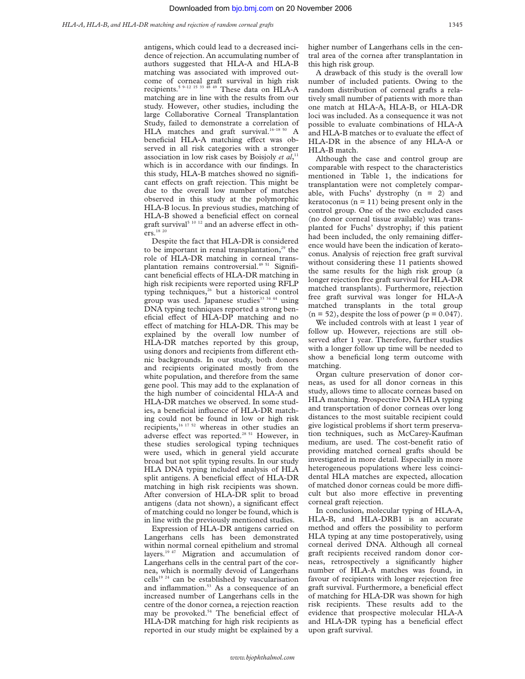antigens, which could lead to a decreased incidence of rejection. An accumulating number of authors suggested that HLA-A and HLA-B matching was associated with improved outcome of corneal graft survival in high risk recipients.<sup>5 9–12 15 33 48 49</sup> These data on HLA-A matching are in line with the results from our study. However, other studies, including the large Collaborative Corneal Transplantation Study, failed to demonstrate a correlation of HLA matches and graft survival.<sup>16-18 50</sup> A beneficial HLA-A matching effect was observed in all risk categories with a stronger association in low risk cases by Boisjoly *et al*, 11 which is in accordance with our findings. In this study, HLA-B matches showed no significant effects on graft rejection. This might be due to the overall low number of matches observed in this study at the polymorphic HLA-B locus. In previous studies, matching of HLA-B showed a beneficial effect on corneal graft survival<sup>5 10 12</sup> and an adverse effect in others.<sup>18 20</sup>

Despite the fact that HLA-DR is considered to be important in renal transplantation, $29$  the role of HLA-DR matching in corneal transplantation remains controversial.<sup>49 51</sup> Significant beneficial effects of HLA-DR matching in high risk recipients were reported using RFLP typing techniques,<sup>26</sup> but a historical control group was used. Japanese studies<sup>33 34 44</sup> using DNA typing techniques reported a strong beneficial effect of HLA-DP matching and no effect of matching for HLA-DR. This may be explained by the overall low number of HLA-DR matches reported by this group, using donors and recipients from different ethnic backgrounds. In our study, both donors and recipients originated mostly from the white population, and therefore from the same gene pool. This may add to the explanation of the high number of coincidental HLA-A and HLA-DR matches we observed. In some studies, a beneficial influence of HLA-DR matching could not be found in low or high risk recipients,16 17 52 whereas in other studies an adverse effect was reported.<sup>28 51</sup> However, in these studies serological typing techniques were used, which in general yield accurate broad but not split typing results. In our study HLA DNA typing included analysis of HLA split antigens. A beneficial effect of HLA-DR matching in high risk recipients was shown. After conversion of HLA-DR split to broad antigens (data not shown), a significant effect of matching could no longer be found, which is in line with the previously mentioned studies.

Expression of HLA-DR antigens carried on Langerhans cells has been demonstrated within normal corneal epithelium and stromal layers.<sup>19 47</sup> Migration and accumulation of Langerhans cells in the central part of the cornea, which is normally devoid of Langerhans cells<sup>19 24</sup> can be established by vascularisation and inflammation.<sup>53</sup> As a consequence of an increased number of Langerhans cells in the centre of the donor cornea, a rejection reaction may be provoked. $54$  The beneficial effect of HLA-DR matching for high risk recipients as reported in our study might be explained by a

higher number of Langerhans cells in the central area of the cornea after transplantation in this high risk group.

A drawback of this study is the overall low number of included patients. Owing to the random distribution of corneal grafts a relatively small number of patients with more than one match at HLA-A, HLA-B, or HLA-DR loci was included. As a consequence it was not possible to evaluate combinations of HLA-A and HLA-B matches or to evaluate the effect of HLA-DR in the absence of any HLA-A or HLA-B match.

Although the case and control group are comparable with respect to the characteristics mentioned in Table 1, the indications for transplantation were not completely comparable, with Fuchs' dystrophy (n = 2) and keratoconus ( $n = 11$ ) being present only in the control group. One of the two excluded cases (no donor corneal tissue available) was transplanted for Fuchs' dystrophy; if this patient had been included, the only remaining difference would have been the indication of keratoconus. Analysis of rejection free graft survival without considering these 11 patients showed the same results for the high risk group (a longer rejection free graft survival for HLA-DR matched transplants). Furthermore, rejection free graft survival was longer for HLA-A matched transplants in the total group  $(n = 52)$ , despite the loss of power  $(p = 0.047)$ .

We included controls with at least 1 year of follow up. However, rejections are still observed after 1 year. Therefore, further studies with a longer follow up time will be needed to show a beneficial long term outcome with matching.

Organ culture preservation of donor corneas, as used for all donor corneas in this study, allows time to allocate corneas based on HLA matching. Prospective DNA HLA typing and transportation of donor corneas over long distances to the most suitable recipient could give logistical problems if short term preservation techniques, such as McCarey-Kaufman medium, are used. The cost-benefit ratio of providing matched corneal grafts should be investigated in more detail. Especially in more heterogeneous populations where less coincidental HLA matches are expected, allocation of matched donor corneas could be more difficult but also more effective in preventing corneal graft rejection.

In conclusion, molecular typing of HLA-A, HLA-B, and HLA-DRB1 is an accurate method and offers the possibility to perform HLA typing at any time postoperatively, using corneal derived DNA. Although all corneal graft recipients received random donor corneas, retrospectively a significantly higher number of HLA-A matches was found, in favour of recipients with longer rejection free graft survival. Furthermore, a beneficial effect of matching for HLA-DR was shown for high risk recipients. These results add to the evidence that prospective molecular HLA-A and HLA-DR typing has a beneficial effect upon graft survival.